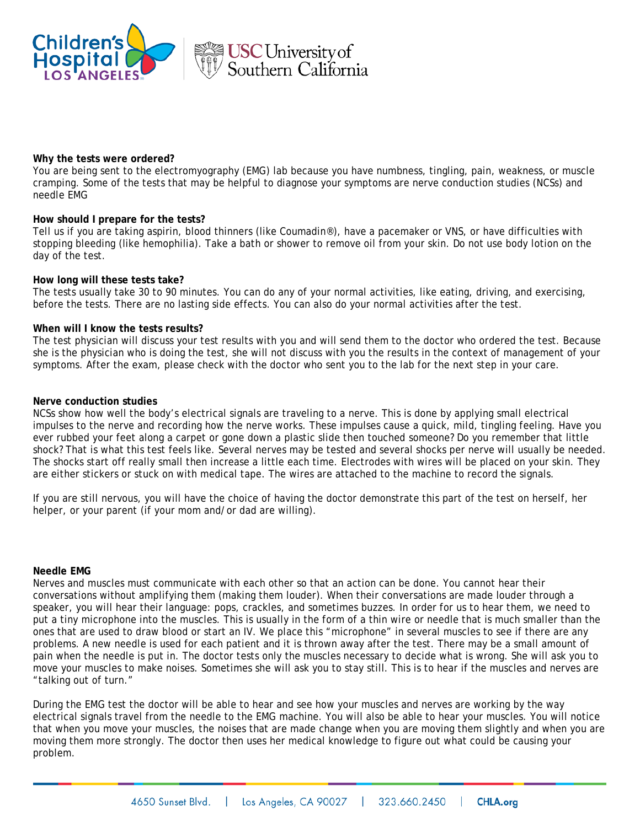



## **Why the tests were ordered?**

You are being sent to the electromyography (EMG) lab because you have numbness, tingling, pain, weakness, or muscle cramping. Some of the tests that may be helpful to diagnose your symptoms are nerve conduction studies (NCSs) and needle EMG

### **How should I prepare for the tests?**

Tell us if you are taking aspirin, blood thinners (like Coumadin®), have a pacemaker or VNS, or have difficulties with stopping bleeding (like hemophilia). Take a bath or shower to remove oil from your skin. Do not use body lotion on the day of the test.

#### **How long will these tests take?**

The tests usually take 30 to 90 minutes. You can do any of your normal activities, like eating, driving, and exercising, before the tests. There are no lasting side effects. You can also do your normal activities after the test.

### **When will I know the tests results?**

The test physician will discuss your test results with you and will send them to the doctor who ordered the test. Because she is the physician who is doing the test, she will not discuss with you the results in the context of management of your symptoms. After the exam, please check with the doctor who sent you to the lab for the next step in your care.

## **Nerve conduction studies**

NCSs show how well the body's electrical signals are traveling to a nerve. This is done by applying small electrical impulses to the nerve and recording how the nerve works. These impulses cause a quick, mild, tingling feeling. Have you ever rubbed your feet along a carpet or gone down a plastic slide then touched someone? Do you remember that little shock? That is what this test feels like. Several nerves may be tested and several shocks per nerve will usually be needed. The shocks start off really small then increase a little each time. Electrodes with wires will be placed on your skin. They are either stickers or stuck on with medical tape. The wires are attached to the machine to record the signals.

If you are still nervous, you will have the choice of having the doctor demonstrate this part of the test on herself, her helper, or your parent (if your mom and/or dad are willing).

#### **Needle EMG**

Nerves and muscles must communicate with each other so that an action can be done. You cannot hear their conversations without amplifying them (making them louder). When their conversations are made louder through a speaker, you will hear their language: pops, crackles, and sometimes buzzes. In order for us to hear them, we need to put a tiny microphone into the muscles. This is usually in the form of a thin wire or needle that is much smaller than the ones that are used to draw blood or start an IV. We place this "microphone" in several muscles to see if there are any problems. A new needle is used for each patient and it is thrown away after the test. There may be a small amount of pain when the needle is put in. The doctor tests only the muscles necessary to decide what is wrong. She will ask you to move your muscles to make noises. Sometimes she will ask you to stay still. This is to hear if the muscles and nerves are "talking out of turn."

During the EMG test the doctor will be able to hear and see how your muscles and nerves are working by the way electrical signals travel from the needle to the EMG machine. You will also be able to hear your muscles. You will notice that when you move your muscles, the noises that are made change when you are moving them slightly and when you are moving them more strongly. The doctor then uses her medical knowledge to figure out what could be causing your problem.